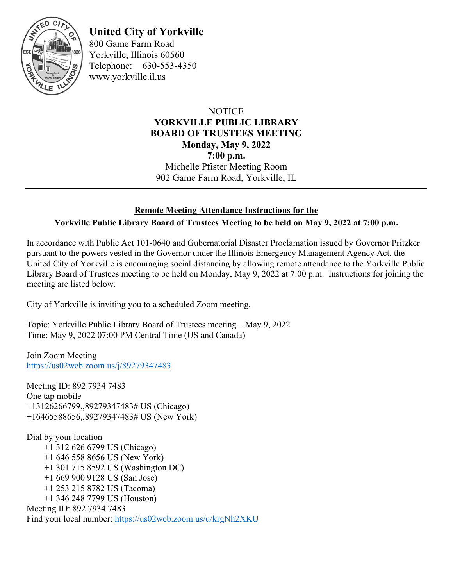

# **United City of Yorkville**

800 Game Farm Road Yorkville, Illinois 60560 Telephone: 630-553-4350 www.yorkville.il.us

## **NOTICE YORKVILLE PUBLIC LIBRARY BOARD OF TRUSTEES MEETING Monday, May 9, 2022 7:00 p.m.** Michelle Pfister Meeting Room 902 Game Farm Road, Yorkville, IL

## **Remote Meeting Attendance Instructions for the Yorkville Public Library Board of Trustees Meeting to be held on May 9, 2022 at 7:00 p.m.**

In accordance with Public Act 101-0640 and Gubernatorial Disaster Proclamation issued by Governor Pritzker pursuant to the powers vested in the Governor under the Illinois Emergency Management Agency Act, the United City of Yorkville is encouraging social distancing by allowing remote attendance to the Yorkville Public Library Board of Trustees meeting to be held on Monday, May 9, 2022 at 7:00 p.m. Instructions for joining the meeting are listed below.

City of Yorkville is inviting you to a scheduled Zoom meeting.

Topic: Yorkville Public Library Board of Trustees meeting – May 9, 2022 Time: May 9, 2022 07:00 PM Central Time (US and Canada)

Join Zoom Meeting <https://us02web.zoom.us/j/89279347483>

Meeting ID: 892 7934 7483 One tap mobile +13126266799,,89279347483# US (Chicago) +16465588656,,89279347483# US (New York)

Dial by your location +1 312 626 6799 US (Chicago) +1 646 558 8656 US (New York) +1 301 715 8592 US (Washington DC) +1 669 900 9128 US (San Jose) +1 253 215 8782 US (Tacoma) +1 346 248 7799 US (Houston) Meeting ID: 892 7934 7483 Find your local number:<https://us02web.zoom.us/u/krgNh2XKU>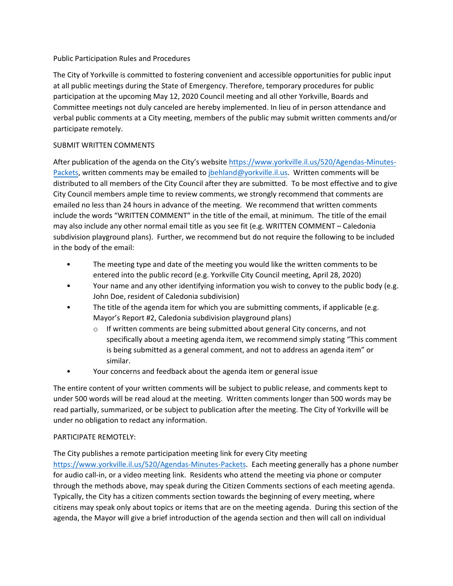#### Public Participation Rules and Procedures

The City of Yorkville is committed to fostering convenient and accessible opportunities for public input at all public meetings during the State of Emergency. Therefore, temporary procedures for public participation at the upcoming May 12, 2020 Council meeting and all other Yorkville, Boards and Committee meetings not duly canceled are hereby implemented. In lieu of in person attendance and verbal public comments at a City meeting, members of the public may submit written comments and/or participate remotely.

### SUBMIT WRITTEN COMMENTS

After publication of the agenda on the City's website https://www.yorkville.il.us/520/Agendas-Minutes-Packets, written comments may be emailed to jbehland@yorkville.il.us. Written comments will be distributed to all members of the City Council after they are submitted. To be most effective and to give City Council members ample time to review comments, we strongly recommend that comments are emailed no less than 24 hours in advance of the meeting. We recommend that written comments include the words "WRITTEN COMMENT" in the title of the email, at minimum. The title of the email may also include any other normal email title as you see fit (e.g. WRITTEN COMMENT – Caledonia subdivision playground plans). Further, we recommend but do not require the following to be included in the body of the email:

- The meeting type and date of the meeting you would like the written comments to be entered into the public record (e.g. Yorkville City Council meeting, April 28, 2020)
- Your name and any other identifying information you wish to convey to the public body (e.g. John Doe, resident of Caledonia subdivision)
- The title of the agenda item for which you are submitting comments, if applicable (e.g. Mayor's Report #2, Caledonia subdivision playground plans)
	- o If written comments are being submitted about general City concerns, and not specifically about a meeting agenda item, we recommend simply stating "This comment is being submitted as a general comment, and not to address an agenda item" or similar.
- Your concerns and feedback about the agenda item or general issue

The entire content of your written comments will be subject to public release, and comments kept to under 500 words will be read aloud at the meeting. Written comments longer than 500 words may be read partially, summarized, or be subject to publication after the meeting. The City of Yorkville will be under no obligation to redact any information.

#### PARTICIPATE REMOTELY:

The City publishes a remote participation meeting link for every City meeting

https://www.yorkville.il.us/520/Agendas‐Minutes‐Packets. Each meeting generally has a phone number for audio call‐in, or a video meeting link. Residents who attend the meeting via phone or computer through the methods above, may speak during the Citizen Comments sections of each meeting agenda. Typically, the City has a citizen comments section towards the beginning of every meeting, where citizens may speak only about topics or items that are on the meeting agenda. During this section of the agenda, the Mayor will give a brief introduction of the agenda section and then will call on individual